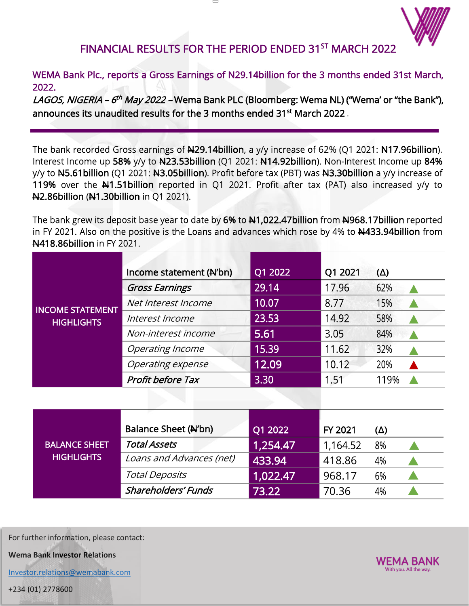

## FINANCIAL RESULTS FOR THE PERIOD ENDED 31<sup>ST</sup> MARCH 2022

## WEMA Bank Plc., reports a Gross Earnings of N29.14billion for the 3 months ended 31st March, 2022.

*LAGOS, NIGERIA – 6<sup>th</sup> May 2022 –* Wema Bank PLC (Bloomberg: Wema NL) ("Wema' or "the Bank"), announces its unaudited results for the 3 months ended 31 $^{\rm st}$  March 2022 .

The bank recorded Gross earnings of  $\mu$ 29.14billion, a y/y increase of 62% (Q1 2021: N17.96billion). Interest Income up 58% y/y to N23.53billion (Q1 2021: N14.92billion). Non-Interest Income up 84% y/y to N5.61billion (Q1 2021: N3.05billion). Profit before tax (PBT) was N3.30billion a y/y increase of 119% over the N1.51billion reported in Q1 2021. Profit after tax (PAT) also increased y/y to N2.86billion (N1.30billion in Q1 2021).

The bank grew its deposit base year to date by 6% to 41,022.47billion from 4968.17billion reported in FY 2021. Also on the positive is the Loans and advances which rose by 4% to  $\frac{1433.94}{100}$  from N418.86billion in FY 2021.

| <b>INCOME STATEMENT</b><br><b>HIGHLIGHTS</b> | Income statement (N'bn)  | Q1 2022 | Q1 2021 | $(\Delta)$ |
|----------------------------------------------|--------------------------|---------|---------|------------|
|                                              | <b>Gross Earnings</b>    | 29.14   | 17.96   | 62%        |
|                                              | Net Interest Income      | 10.07   | 8.77    | 15%        |
|                                              | Interest Income          | 23.53   | 14.92   | 58%        |
|                                              | Non-interest income      | 5.61    | 3.05    | 84%        |
|                                              | <b>Operating Income</b>  | 15.39   | 11.62   | 32%        |
|                                              | Operating expense        | 12.09   | 10.12   | 20%        |
|                                              | <b>Profit before Tax</b> | 3.30    | 1.51    | 119%       |

| <b>BALANCE SHEET</b><br><b>HIGHLIGHTS</b> | Balance Sheet (N'bn)       | Q1 2022  | FY 2021  | (∆) |  |
|-------------------------------------------|----------------------------|----------|----------|-----|--|
|                                           | <b>Total Assets</b>        | 1,254.47 | 1,164.52 | 8%  |  |
|                                           | Loans and Advances (net)   | 433.94   | 418.86   | 4%  |  |
|                                           | <b>Total Deposits</b>      | 1,022.47 | 968.17   | 6%  |  |
|                                           | <b>Shareholders' Funds</b> | 73.22    | 70.36    | 4%  |  |

For further information, please contact:

**Wema Bank Investor Relations**

[Investor.relations@wemabank.com](mailto:Investor.relations@wemabank.com)

+234 (01) 2778600

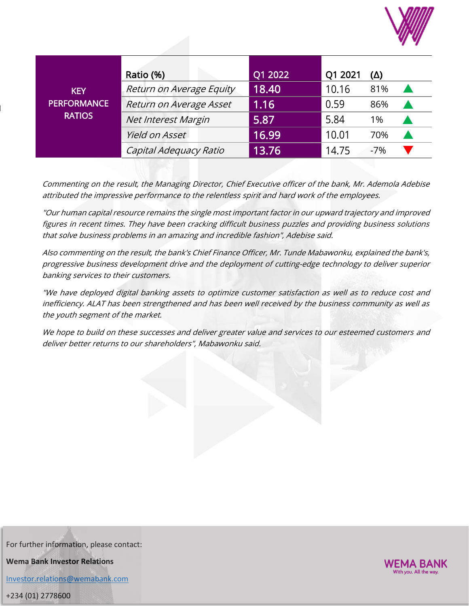

| <b>KEY</b><br><b>PERFORMANCE</b><br><b>RATIOS</b> | Ratio (%)                | Q1 2022 | Q1 2021 | <u>(Δ)</u> |  |
|---------------------------------------------------|--------------------------|---------|---------|------------|--|
|                                                   | Return on Average Equity | 18.40   | 10.16   | 81%        |  |
|                                                   | Return on Average Asset  | 1.16    | 0.59    | 86%        |  |
|                                                   | Net Interest Margin      | 5.87    | 5.84    | 1%         |  |
|                                                   | Yield on Asset           | 16.99   | 10.01   | 70%        |  |
|                                                   | Capital Adequacy Ratio   | 13.76   | 14.75   | $-7%$      |  |

Commenting on the result, the Managing Director, Chief Executive officer of the bank, Mr. Ademola Adebise attributed the impressive performance to the relentless spirit and hard work of the employees.

"Our human capital resource remains the single most important factor in our upward trajectory and improved figures in recent times. They have been cracking difficult business puzzles and providing business solutions that solve business problems in an amazing and incredible fashion", Adebise said.

Also commenting on the result, the bank's Chief Finance Officer, Mr. Tunde Mabawonku, explained the bank's, progressive business development drive and the deployment of cutting-edge technology to deliver superior banking services to their customers.

"We have deployed digital banking assets to optimize customer satisfaction as well as to reduce cost and inefficiency. ALAT has been strengthened and has been well received by the business community as well as the youth segment of the market.

We hope to build on these successes and deliver greater value and services to our esteemed customers and deliver better returns to our shareholders", Mabawonku said.

For further information, please contact: **Wema Bank Investor Relations**

[Investor.relations@wemabank.com](mailto:Investor.relations@wemabank.com)

+234 (01) 2778600

d